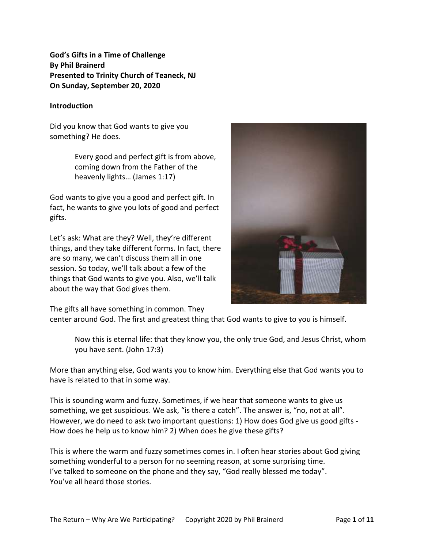**God's Gifts in a Time of Challenge By Phil Brainerd Presented to Trinity Church of Teaneck, NJ On Sunday, September 20, 2020**

#### **Introduction**

Did you know that God wants to give you something? He does.

> Every good and perfect gift is from above, coming down from the Father of the heavenly lights… (James 1:17)

God wants to give you a good and perfect gift. In fact, he wants to give you lots of good and perfect gifts.

Let's ask: What are they? Well, they're different things, and they take different forms. In fact, there are so many, we can't discuss them all in one session. So today, we'll talk about a few of the things that God wants to give you. Also, we'll talk about the way that God gives them.



The gifts all have something in common. They

center around God. The first and greatest thing that God wants to give to you is himself.

Now this is eternal life: that they know you, the only true God, and Jesus Christ, whom you have sent. (John 17:3)

More than anything else, God wants you to know him. Everything else that God wants you to have is related to that in some way.

This is sounding warm and fuzzy. Sometimes, if we hear that someone wants to give us something, we get suspicious. We ask, "is there a catch". The answer is, "no, not at all". However, we do need to ask two important questions: 1) How does God give us good gifts - How does he help us to know him? 2) When does he give these gifts?

This is where the warm and fuzzy sometimes comes in. I often hear stories about God giving something wonderful to a person for no seeming reason, at some surprising time. I've talked to someone on the phone and they say, "God really blessed me today". You've all heard those stories.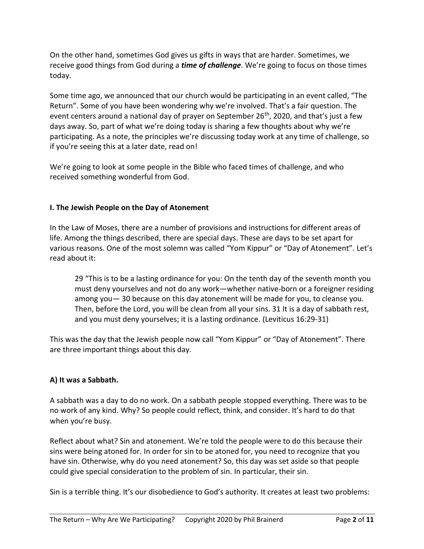On the other hand, sometimes God gives us gifts in ways that are harder. Sometimes, we receive good things from God during a *time of challenge*. We're going to focus on those times today.

Some time ago, we announced that our church would be participating in an event called, "The Return". Some of you have been wondering why we're involved. That's a fair question. The event centers around a national day of prayer on September 26<sup>th</sup>, 2020, and that's just a few days away. So, part of what we're doing today is sharing a few thoughts about why we're participating. As a note, the principles we're discussing today work at any time of challenge, so if you're seeing this at a later date, read on!

We're going to look at some people in the Bible who faced times of challenge, and who received something wonderful from God.

## **I. The Jewish People on the Day of Atonement**

In the Law of Moses, there are a number of provisions and instructions for different areas of life. Among the things described, there are special days. These are days to be set apart for various reasons. One of the most solemn was called "Yom Kippur" or "Day of Atonement". Let's read about it:

29 "This is to be a lasting ordinance for you: On the tenth day of the seventh month you must deny yourselves and not do any work—whether native-born or a foreigner residing among you— 30 because on this day atonement will be made for you, to cleanse you. Then, before the Lord, you will be clean from all your sins. 31 It is a day of sabbath rest, and you must deny yourselves; it is a lasting ordinance. (Leviticus 16:29-31)

This was the day that the Jewish people now call "Yom Kippur" or "Day of Atonement". There are three important things about this day.

# **A) It was a Sabbath.**

A sabbath was a day to do no work. On a sabbath people stopped everything. There was to be no work of any kind. Why? So people could reflect, think, and consider. It's hard to do that when you're busy.

Reflect about what? Sin and atonement. We're told the people were to do this because their sins were being atoned for. In order for sin to be atoned for, you need to recognize that you have sin. Otherwise, why do you need atonement? So, this day was set aside so that people could give special consideration to the problem of sin. In particular, their sin.

Sin is a terrible thing. It's our disobedience to God's authority. It creates at least two problems: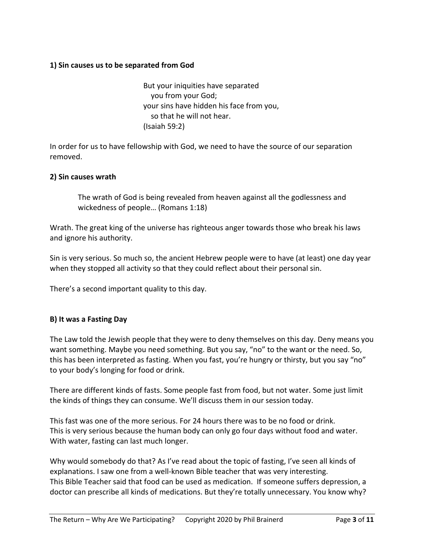### **1) Sin causes us to be separated from God**

But your iniquities have separated you from your God; your sins have hidden his face from you, so that he will not hear. (Isaiah 59:2)

In order for us to have fellowship with God, we need to have the source of our separation removed.

### **2) Sin causes wrath**

The wrath of God is being revealed from heaven against all the godlessness and wickedness of people… (Romans 1:18)

Wrath. The great king of the universe has righteous anger towards those who break his laws and ignore his authority.

Sin is very serious. So much so, the ancient Hebrew people were to have (at least) one day year when they stopped all activity so that they could reflect about their personal sin.

There's a second important quality to this day.

### **B) It was a Fasting Day**

The Law told the Jewish people that they were to deny themselves on this day. Deny means you want something. Maybe you need something. But you say, "no" to the want or the need. So, this has been interpreted as fasting. When you fast, you're hungry or thirsty, but you say "no" to your body's longing for food or drink.

There are different kinds of fasts. Some people fast from food, but not water. Some just limit the kinds of things they can consume. We'll discuss them in our session today.

This fast was one of the more serious. For 24 hours there was to be no food or drink. This is very serious because the human body can only go four days without food and water. With water, fasting can last much longer.

Why would somebody do that? As I've read about the topic of fasting, I've seen all kinds of explanations. I saw one from a well-known Bible teacher that was very interesting. This Bible Teacher said that food can be used as medication. If someone suffers depression, a doctor can prescribe all kinds of medications. But they're totally unnecessary. You know why?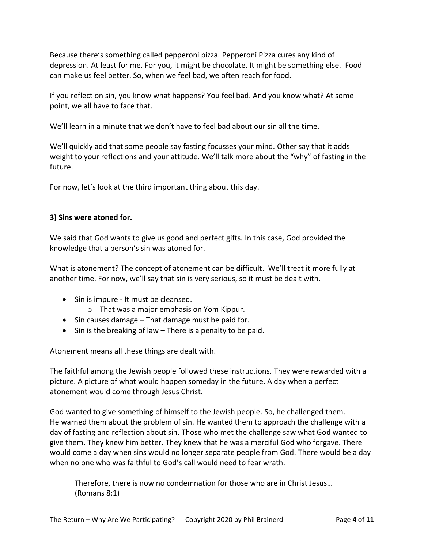Because there's something called pepperoni pizza. Pepperoni Pizza cures any kind of depression. At least for me. For you, it might be chocolate. It might be something else. Food can make us feel better. So, when we feel bad, we often reach for food.

If you reflect on sin, you know what happens? You feel bad. And you know what? At some point, we all have to face that.

We'll learn in a minute that we don't have to feel bad about our sin all the time.

We'll quickly add that some people say fasting focusses your mind. Other say that it adds weight to your reflections and your attitude. We'll talk more about the "why" of fasting in the future.

For now, let's look at the third important thing about this day.

### **3) Sins were atoned for.**

We said that God wants to give us good and perfect gifts. In this case, God provided the knowledge that a person's sin was atoned for.

What is atonement? The concept of atonement can be difficult. We'll treat it more fully at another time. For now, we'll say that sin is very serious, so it must be dealt with.

- Sin is impure It must be cleansed.
	- o That was a major emphasis on Yom Kippur.
- Sin causes damage That damage must be paid for.
- Sin is the breaking of law There is a penalty to be paid.

Atonement means all these things are dealt with.

The faithful among the Jewish people followed these instructions. They were rewarded with a picture. A picture of what would happen someday in the future. A day when a perfect atonement would come through Jesus Christ.

God wanted to give something of himself to the Jewish people. So, he challenged them. He warned them about the problem of sin. He wanted them to approach the challenge with a day of fasting and reflection about sin. Those who met the challenge saw what God wanted to give them. They knew him better. They knew that he was a merciful God who forgave. There would come a day when sins would no longer separate people from God. There would be a day when no one who was faithful to God's call would need to fear wrath.

Therefore, there is now no condemnation for those who are in Christ Jesus… (Romans 8:1)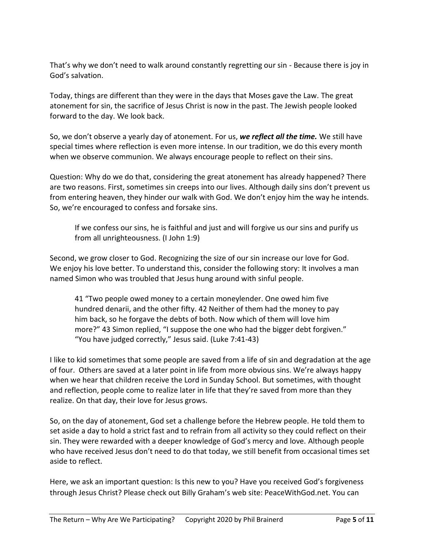That's why we don't need to walk around constantly regretting our sin - Because there is joy in God's salvation.

Today, things are different than they were in the days that Moses gave the Law. The great atonement for sin, the sacrifice of Jesus Christ is now in the past. The Jewish people looked forward to the day. We look back.

So, we don't observe a yearly day of atonement. For us, *we reflect all the time.* We still have special times where reflection is even more intense. In our tradition, we do this every month when we observe communion. We always encourage people to reflect on their sins.

Question: Why do we do that, considering the great atonement has already happened? There are two reasons. First, sometimes sin creeps into our lives. Although daily sins don't prevent us from entering heaven, they hinder our walk with God. We don't enjoy him the way he intends. So, we're encouraged to confess and forsake sins.

If we confess our sins, he is faithful and just and will forgive us our sins and purify us from all unrighteousness. (I John 1:9)

Second, we grow closer to God. Recognizing the size of our sin increase our love for God. We enjoy his love better. To understand this, consider the following story: It involves a man named Simon who was troubled that Jesus hung around with sinful people.

41 "Two people owed money to a certain moneylender. One owed him five hundred denarii, and the other fifty. 42 Neither of them had the money to pay him back, so he forgave the debts of both. Now which of them will love him more?" 43 Simon replied, "I suppose the one who had the bigger debt forgiven." "You have judged correctly," Jesus said. (Luke 7:41-43)

I like to kid sometimes that some people are saved from a life of sin and degradation at the age of four. Others are saved at a later point in life from more obvious sins. We're always happy when we hear that children receive the Lord in Sunday School. But sometimes, with thought and reflection, people come to realize later in life that they're saved from more than they realize. On that day, their love for Jesus grows.

So, on the day of atonement, God set a challenge before the Hebrew people. He told them to set aside a day to hold a strict fast and to refrain from all activity so they could reflect on their sin. They were rewarded with a deeper knowledge of God's mercy and love. Although people who have received Jesus don't need to do that today, we still benefit from occasional times set aside to reflect.

Here, we ask an important question: Is this new to you? Have you received God's forgiveness through Jesus Christ? Please check out Billy Graham's web site: PeaceWithGod.net. You can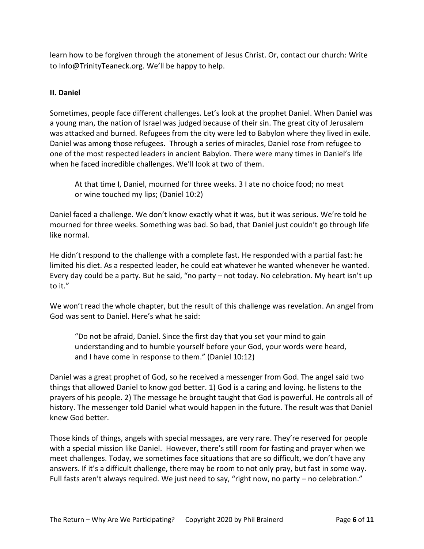learn how to be forgiven through the atonement of Jesus Christ. Or, contact our church: Write to Info@TrinityTeaneck.org. We'll be happy to help.

## **II. Daniel**

Sometimes, people face different challenges. Let's look at the prophet Daniel. When Daniel was a young man, the nation of Israel was judged because of their sin. The great city of Jerusalem was attacked and burned. Refugees from the city were led to Babylon where they lived in exile. Daniel was among those refugees. Through a series of miracles, Daniel rose from refugee to one of the most respected leaders in ancient Babylon. There were many times in Daniel's life when he faced incredible challenges. We'll look at two of them.

At that time I, Daniel, mourned for three weeks. 3 I ate no choice food; no meat or wine touched my lips; (Daniel 10:2)

Daniel faced a challenge. We don't know exactly what it was, but it was serious. We're told he mourned for three weeks. Something was bad. So bad, that Daniel just couldn't go through life like normal.

He didn't respond to the challenge with a complete fast. He responded with a partial fast: he limited his diet. As a respected leader, he could eat whatever he wanted whenever he wanted. Every day could be a party. But he said, "no party – not today. No celebration. My heart isn't up to it."

We won't read the whole chapter, but the result of this challenge was revelation. An angel from God was sent to Daniel. Here's what he said:

"Do not be afraid, Daniel. Since the first day that you set your mind to gain understanding and to humble yourself before your God, your words were heard, and I have come in response to them." (Daniel 10:12)

Daniel was a great prophet of God, so he received a messenger from God. The angel said two things that allowed Daniel to know god better. 1) God is a caring and loving. he listens to the prayers of his people. 2) The message he brought taught that God is powerful. He controls all of history. The messenger told Daniel what would happen in the future. The result was that Daniel knew God better.

Those kinds of things, angels with special messages, are very rare. They're reserved for people with a special mission like Daniel. However, there's still room for fasting and prayer when we meet challenges. Today, we sometimes face situations that are so difficult, we don't have any answers. If it's a difficult challenge, there may be room to not only pray, but fast in some way. Full fasts aren't always required. We just need to say, "right now, no party - no celebration."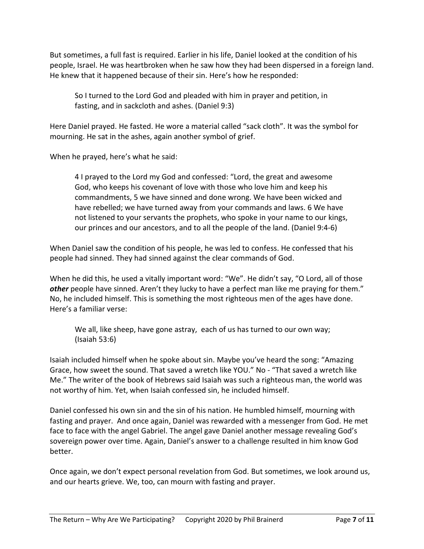But sometimes, a full fast is required. Earlier in his life, Daniel looked at the condition of his people, Israel. He was heartbroken when he saw how they had been dispersed in a foreign land. He knew that it happened because of their sin. Here's how he responded:

So I turned to the Lord God and pleaded with him in prayer and petition, in fasting, and in sackcloth and ashes. (Daniel 9:3)

Here Daniel prayed. He fasted. He wore a material called "sack cloth". It was the symbol for mourning. He sat in the ashes, again another symbol of grief.

When he prayed, here's what he said:

4 I prayed to the Lord my God and confessed: "Lord, the great and awesome God, who keeps his covenant of love with those who love him and keep his commandments, 5 we have sinned and done wrong. We have been wicked and have rebelled; we have turned away from your commands and laws. 6 We have not listened to your servants the prophets, who spoke in your name to our kings, our princes and our ancestors, and to all the people of the land. (Daniel 9:4-6)

When Daniel saw the condition of his people, he was led to confess. He confessed that his people had sinned. They had sinned against the clear commands of God.

When he did this, he used a vitally important word: "We". He didn't say, "O Lord, all of those *other* people have sinned. Aren't they lucky to have a perfect man like me praying for them." No, he included himself. This is something the most righteous men of the ages have done. Here's a familiar verse:

We all, like sheep, have gone astray, each of us has turned to our own way; (Isaiah 53:6)

Isaiah included himself when he spoke about sin. Maybe you've heard the song: "Amazing Grace, how sweet the sound. That saved a wretch like YOU." No - "That saved a wretch like Me." The writer of the book of Hebrews said Isaiah was such a righteous man, the world was not worthy of him. Yet, when Isaiah confessed sin, he included himself.

Daniel confessed his own sin and the sin of his nation. He humbled himself, mourning with fasting and prayer. And once again, Daniel was rewarded with a messenger from God. He met face to face with the angel Gabriel. The angel gave Daniel another message revealing God's sovereign power over time. Again, Daniel's answer to a challenge resulted in him know God better.

Once again, we don't expect personal revelation from God. But sometimes, we look around us, and our hearts grieve. We, too, can mourn with fasting and prayer.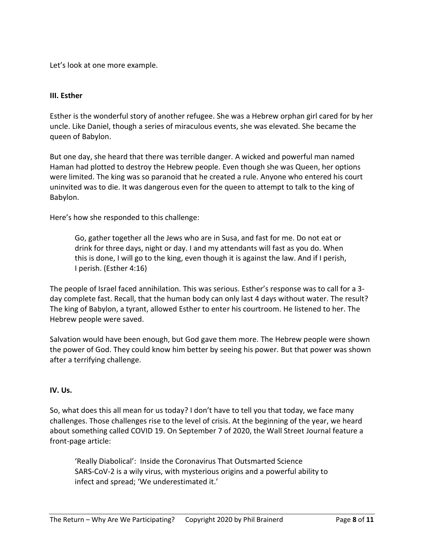Let's look at one more example.

#### **III. Esther**

Esther is the wonderful story of another refugee. She was a Hebrew orphan girl cared for by her uncle. Like Daniel, though a series of miraculous events, she was elevated. She became the queen of Babylon.

But one day, she heard that there was terrible danger. A wicked and powerful man named Haman had plotted to destroy the Hebrew people. Even though she was Queen, her options were limited. The king was so paranoid that he created a rule. Anyone who entered his court uninvited was to die. It was dangerous even for the queen to attempt to talk to the king of Babylon.

Here's how she responded to this challenge:

Go, gather together all the Jews who are in Susa, and fast for me. Do not eat or drink for three days, night or day. I and my attendants will fast as you do. When this is done, I will go to the king, even though it is against the law. And if I perish, I perish. (Esther 4:16)

The people of Israel faced annihilation. This was serious. Esther's response was to call for a 3 day complete fast. Recall, that the human body can only last 4 days without water. The result? The king of Babylon, a tyrant, allowed Esther to enter his courtroom. He listened to her. The Hebrew people were saved.

Salvation would have been enough, but God gave them more. The Hebrew people were shown the power of God. They could know him better by seeing his power. But that power was shown after a terrifying challenge.

#### **IV. Us.**

So, what does this all mean for us today? I don't have to tell you that today, we face many challenges. Those challenges rise to the level of crisis. At the beginning of the year, we heard about something called COVID 19. On September 7 of 2020, the Wall Street Journal feature a front-page article:

'Really Diabolical': Inside the Coronavirus That Outsmarted Science SARS-CoV-2 is a wily virus, with mysterious origins and a powerful ability to infect and spread; 'We underestimated it.'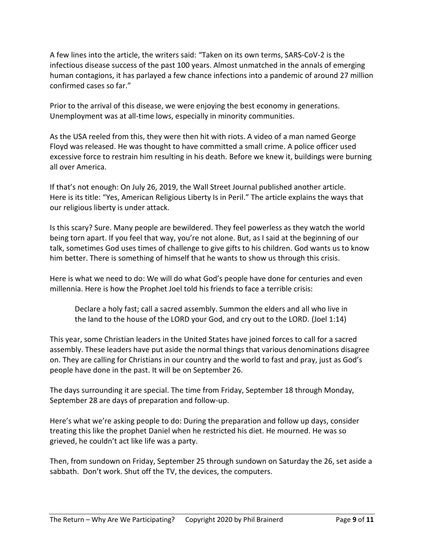A few lines into the article, the writers said: "Taken on its own terms, SARS-CoV-2 is the infectious disease success of the past 100 years. Almost unmatched in the annals of emerging human contagions, it has parlayed a few chance infections into a pandemic of around 27 million confirmed cases so far."

Prior to the arrival of this disease, we were enjoying the best economy in generations. Unemployment was at all-time lows, especially in minority communities.

As the USA reeled from this, they were then hit with riots. A video of a man named George Floyd was released. He was thought to have committed a small crime. A police officer used excessive force to restrain him resulting in his death. Before we knew it, buildings were burning all over America.

If that's not enough: On July 26, 2019, the Wall Street Journal published another article. Here is its title: "Yes, American Religious Liberty Is in Peril." The article explains the ways that our religious liberty is under attack.

Is this scary? Sure. Many people are bewildered. They feel powerless as they watch the world being torn apart. If you feel that way, you're not alone. But, as I said at the beginning of our talk, sometimes God uses times of challenge to give gifts to his children. God wants us to know him better. There is something of himself that he wants to show us through this crisis.

Here is what we need to do: We will do what God's people have done for centuries and even millennia. Here is how the Prophet Joel told his friends to face a terrible crisis:

Declare a holy fast; call a sacred assembly. Summon the elders and all who live in the land to the house of the LORD your God, and cry out to the LORD. (Joel 1:14)

This year, some Christian leaders in the United States have joined forces to call for a sacred assembly. These leaders have put aside the normal things that various denominations disagree on. They are calling for Christians in our country and the world to fast and pray, just as God's people have done in the past. It will be on September 26.

The days surrounding it are special. The time from Friday, September 18 through Monday, September 28 are days of preparation and follow-up.

Here's what we're asking people to do: During the preparation and follow up days, consider treating this like the prophet Daniel when he restricted his diet. He mourned. He was so grieved, he couldn't act like life was a party.

Then, from sundown on Friday, September 25 through sundown on Saturday the 26, set aside a sabbath. Don't work. Shut off the TV, the devices, the computers.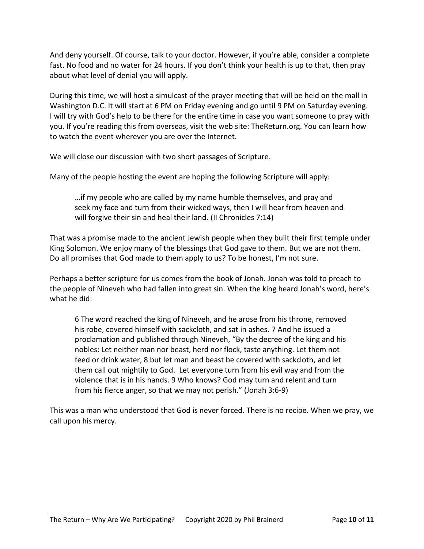And deny yourself. Of course, talk to your doctor. However, if you're able, consider a complete fast. No food and no water for 24 hours. If you don't think your health is up to that, then pray about what level of denial you will apply.

During this time, we will host a simulcast of the prayer meeting that will be held on the mall in Washington D.C. It will start at 6 PM on Friday evening and go until 9 PM on Saturday evening. I will try with God's help to be there for the entire time in case you want someone to pray with you. If you're reading this from overseas, visit the web site: TheReturn.org. You can learn how to watch the event wherever you are over the Internet.

We will close our discussion with two short passages of Scripture.

Many of the people hosting the event are hoping the following Scripture will apply:

…if my people who are called by my name humble themselves, and pray and seek my face and turn from their wicked ways, then I will hear from heaven and will forgive their sin and heal their land. (II Chronicles 7:14)

That was a promise made to the ancient Jewish people when they built their first temple under King Solomon. We enjoy many of the blessings that God gave to them. But we are not them. Do all promises that God made to them apply to us? To be honest, I'm not sure.

Perhaps a better scripture for us comes from the book of Jonah. Jonah was told to preach to the people of Nineveh who had fallen into great sin. When the king heard Jonah's word, here's what he did:

6 The word reached the king of Nineveh, and he arose from his throne, removed his robe, covered himself with sackcloth, and sat in ashes. 7 And he issued a proclamation and published through Nineveh, "By the decree of the king and his nobles: Let neither man nor beast, herd nor flock, taste anything. Let them not feed or drink water, 8 but let man and beast be covered with sackcloth, and let them call out mightily to God. Let everyone turn from his evil way and from the violence that is in his hands. 9 Who knows? God may turn and relent and turn from his fierce anger, so that we may not perish." (Jonah 3:6-9)

This was a man who understood that God is never forced. There is no recipe. When we pray, we call upon his mercy.